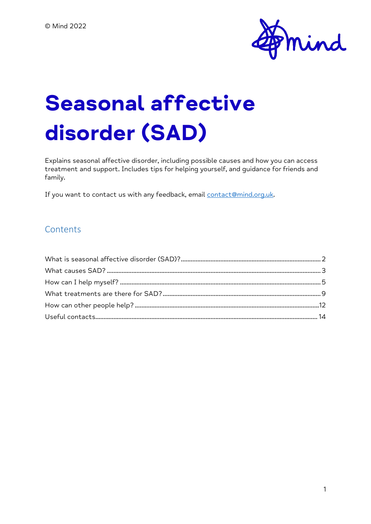

# **Seasonal affective disorder (SAD)**

Explains seasonal affective disorder, including possible causes and how you can access treatment and support. Includes tips for helping yourself, and guidance for friends and family.

If you want to contact us with any feedback, email [contact@mind.org.uk.](mailto:contact@mind.org.uk)

#### Contents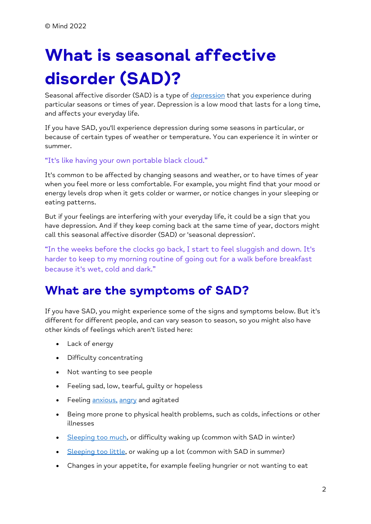# <span id="page-1-0"></span>**What is seasonal affective disorder (SAD)?**

Seasonal affective disorder (SAD) is a type of [depression](https://www.mind.org.uk/information-support/types-of-mental-health-problems/depression/) that you experience during particular seasons or times of year. Depression is a low mood that lasts for a long time, and affects your everyday life.

If you have SAD, you'll experience depression during some seasons in particular, or because of certain types of weather or temperature. You can experience it in winter or summer.

#### "It's like having your own portable black cloud."

It's common to be affected by changing seasons and weather, or to have times of year when you feel more or less comfortable. For example, you might find that your mood or energy levels drop when it gets colder or warmer, or notice changes in your sleeping or eating patterns.

But if your feelings are interfering with your everyday life, it could be a sign that you have depression. And if they keep coming back at the same time of year, doctors might call this seasonal affective disorder (SAD) or 'seasonal depression'.

"In the weeks before the clocks go back, I start to feel sluggish and down. It's harder to keep to my morning routine of going out for a walk before breakfast because it's wet, cold and dark."

#### **What are the symptoms of SAD?**

If you have SAD, you might experience some of the signs and symptoms below. But it's different for different people, and can vary season to season, so you might also have other kinds of feelings which aren't listed here:

- Lack of energy
- Difficulty concentrating
- Not wanting to see people
- Feeling sad, low, tearful, guilty or hopeless
- Feeling [anxious,](https://www.mind.org.uk/information-support/types-of-mental-health-problems/anxiety-and-panic-attacks/) [angry](https://www.mind.org.uk/information-support/types-of-mental-health-problems/anger/) and agitated
- Being more prone to physical health problems, such as colds, infections or other illnesses
- [Sleeping too much,](https://www.mind.org.uk/information-support/types-of-mental-health-problems/sleep-problems/) or difficulty waking up (common with SAD in winter)
- [Sleeping too little,](https://www.mind.org.uk/information-support/types-of-mental-health-problems/sleep-problems/) or waking up a lot (common with SAD in summer)
- Changes in your appetite, for example feeling hungrier or not wanting to eat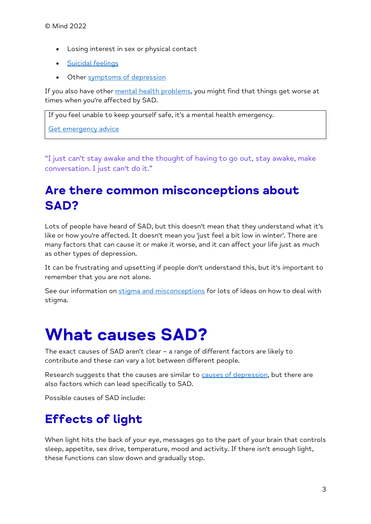- Losing interest in sex or physical contact
- [Suicidal feelings](https://www.mind.org.uk/information-support/types-of-mental-health-problems/suicidal-feelings/)
- Other [symptoms of depression](https://www.mind.org.uk/information-support/types-of-mental-health-problems/depression/symptoms/)

If you also have other [mental health problems,](https://www.mind.org.uk/information-support/a-z-mental-health/) you might find that things get worse at times when you're affected by SAD.

If you feel unable to keep yourself safe, it's a mental health emergency.

[Get emergency advice](https://www.mind.org.uk/information-support/guides-to-support-and-services/crisis-services/getting-help-in-a-crisis/)

"I just can't stay awake and the thought of having to go out, stay awake, make conversation. I just can't do it."

# **Are there common misconceptions about SAD?**

Lots of people have heard of SAD, but this doesn't mean that they understand what it's like or how you're affected. It doesn't mean you 'just feel a bit low in winter'. There are many factors that can cause it or make it worse, and it can affect your life just as much as other types of depression.

It can be frustrating and upsetting if people don't understand this, but it's important to remember that you are not alone.

See our information on [stigma and misconceptions](https://www.mind.org.uk/information-support/types-of-mental-health-problems/mental-health-problems-introduction/stigma-misconceptions/) for lots of ideas on how to deal with stigma.

# <span id="page-2-0"></span>**What causes SAD?**

The exact causes of SAD aren't clear – a range of different factors are likely to contribute and these can vary a lot between different people.

Research suggests that the causes are similar to [causes of depression,](https://www.mind.org.uk/information-support/types-of-mental-health-problems/depression/causes/) but there are also factors which can lead specifically to SAD.

Possible causes of SAD include:

# **Effects of light**

When light hits the back of your eye, messages go to the part of your brain that controls sleep, appetite, sex drive, temperature, mood and activity. If there isn't enough light, these functions can slow down and gradually stop.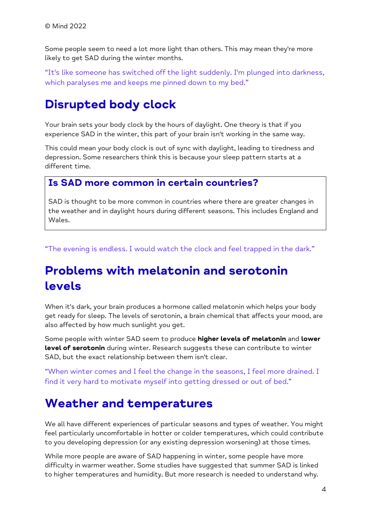Some people seem to need a lot more light than others. This may mean they're more likely to get SAD during the winter months.

"It's like someone has switched off the light suddenly. I'm plunged into darkness, which paralyses me and keeps me pinned down to my bed."

### **Disrupted body clock**

Your brain sets your body clock by the hours of daylight. One theory is that if you experience SAD in the winter, this part of your brain isn't working in the same way.

This could mean your body clock is out of sync with daylight, leading to tiredness and depression. Some researchers think this is because your sleep pattern starts at a different time.

#### **Is SAD more common in certain countries?**

SAD is thought to be more common in countries where there are greater changes in the weather and in daylight hours during different seasons. This includes England and Wales.

"The evening is endless. I would watch the clock and feel trapped in the dark."

## **Problems with melatonin and serotonin levels**

When it's dark, your brain produces a hormone called melatonin which helps your body get ready for sleep. The levels of serotonin, a brain chemical that affects your mood, are also affected by how much sunlight you get.

Some people with winter SAD seem to produce **higher levels of melatonin** and **lower level of serotonin** during winter. Research suggests these can contribute to winter SAD, but the exact relationship between them isn't clear.

"When winter comes and I feel the change in the seasons, I feel more drained. I find it very hard to motivate myself into getting dressed or out of bed."

#### **Weather and temperatures**

We all have different experiences of particular seasons and types of weather. You might feel particularly uncomfortable in hotter or colder temperatures, which could contribute to you developing depression (or any existing depression worsening) at those times.

While more people are aware of SAD happening in winter, some people have more difficulty in warmer weather. Some studies have suggested that summer SAD is linked to higher temperatures and humidity. But more research is needed to understand why.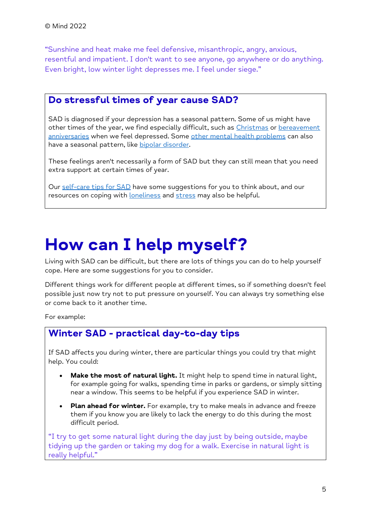"Sunshine and heat make me feel defensive, misanthropic, angry, anxious, resentful and impatient. I don't want to see anyone, go anywhere or do anything. Even bright, low winter light depresses me. I feel under siege."

#### **Do stressful times of year cause SAD?**

SAD is diagnosed if your depression has a seasonal pattern. Some of us might have other times of the year, we find especially difficult, such as [Christmas](https://www.mind.org.uk/information-support/tips-for-everyday-living/christmas-and-mental-health/) or [bereavement](https://www.mind.org.uk/information-support/guides-to-support-and-services/bereavement/)  [anniversaries](https://www.mind.org.uk/information-support/guides-to-support-and-services/bereavement/) when we feel depressed. Some [other mental health problems](https://www.mind.org.uk/information-support/a-z-mental-health/) can also have a seasonal pattern, like **bipolar disorder**.

These feelings aren't necessarily a form of SAD but they can still mean that you need extra support at certain times of year.

<span id="page-4-0"></span>Our [self-care tips](https://www.mind.org.uk/information-support/types-of-mental-health-problems/seasonal-affective-disorder-sad/self-care/) for SAD have some suggestions for you to think about, and our resources on coping with [loneliness](https://www.mind.org.uk/information-support/tips-for-everyday-living/loneliness/) and [stress](https://www.mind.org.uk/information-support/types-of-mental-health-problems/stress/) may also be helpful.

# **How can I help myself?**

Living with SAD can be difficult, but there are lots of things you can do to help yourself cope. Here are some suggestions for you to consider.

Different things work for different people at different times, so if something doesn't feel possible just now try not to put pressure on yourself. You can always try something else or come back to it another time.

For example:

#### **Winter SAD - practical day-to-day tips**

If SAD affects you during winter, there are particular things you could try that might help. You could:

- **Make the most of natural light.** It might help to spend time in natural light, for example going for walks, spending time in parks or gardens, or simply sitting near a window. This seems to be helpful if you experience SAD in winter.
- **Plan ahead for winter.** For example, try to make meals in advance and freeze them if you know you are likely to lack the energy to do this during the most difficult period.

"I try to get some natural light during the day just by being outside, maybe tidying up the garden or taking my dog for a walk. Exercise in natural light is really helpful."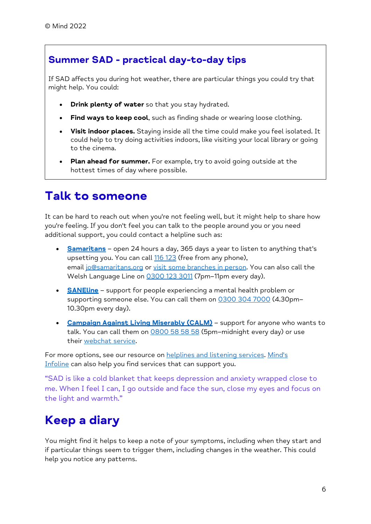#### **Summer SAD - practical day-to-day tips**

If SAD affects you during hot weather, there are particular things you could try that might help. You could:

- **Drink plenty of water** so that you stay hydrated.
- Find ways to keep cool, such as finding shade or wearing loose clothing.
- **Visit indoor places.** Staying inside all the time could make you feel isolated. It could help to try doing activities indoors, like visiting your local library or going to the cinema.
- **Plan ahead for summer.** For example, try to avoid going outside at the hottest times of day where possible.

## **Talk to someone**

It can be hard to reach out when you're not feeling well, but it might help to share how you're feeling. If you don't feel you can talk to the people around you or you need additional support, you could contact a helpline such as:

- **[Samaritans](https://www.samaritans.org/)** open 24 hours a day, 365 days a year to listen to anything that's upsetting you. You can call [116 123](tel:+44-116-123) (free from any phone), email [jo@samaritans.org](mailto:jo@samaritans.org) or [visit some branches in person.](https://www.samaritans.org/branches) You can also call the Welsh Language Line on [0300 123 3011](tel:+44-0300-123-3011) (7pm–11pm every day).
- **[SANEline](http://www.sane.org.uk/what_we_do/support/helpline)** support for people experiencing a mental health problem or supporting someone else. You can call them on [0300 304 7000](tel:+44-0300-304-7000) (4.30pm-10.30pm every day).
- **[Campaign Against Living Miserably \(CALM\)](https://www.thecalmzone.net/)** support for anyone who wants to talk. You can call them on  $0800$  58 58 58 (5pm-midnight every day) or use their [webchat service.](https://www.thecalmzone.net/help/webchat/)

For more options, see our resource on [helplines and listening services.](https://www.mind.org.uk/information-support/guides-to-support-and-services/crisis-services/helplines-listening-services/) Mind's [Infoline](https://www.mind.org.uk/information-support/helplines/) can also help you find services that can support you.

"SAD is like a cold blanket that keeps depression and anxiety wrapped close to me. When I feel I can, I go outside and face the sun, close my eyes and focus on the light and warmth."

# **Keep a diary**

You might find it helps to keep a note of your symptoms, including when they start and if particular things seem to trigger them, including changes in the weather. This could help you notice any patterns.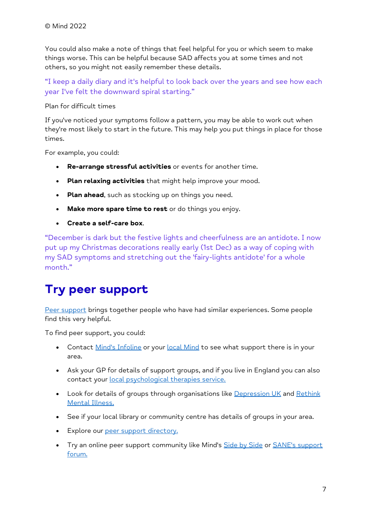You could also make a note of things that feel helpful for you or which seem to make things worse. This can be helpful because SAD affects you at some times and not others, so you might not easily remember these details.

"I keep a daily diary and it's helpful to look back over the years and see how each year I've felt the downward spiral starting."

Plan for difficult times

If you've noticed your symptoms follow a pattern, you may be able to work out when they're most likely to start in the future. This may help you put things in place for those times.

For example, you could:

- **Re-arrange stressful activities** or events for another time.
- **Plan relaxing activities** that might help improve your mood.
- **Plan ahead**, such as stocking up on things you need.
- **Make more spare time to rest** or do things you enjoy.
- **Create a self-care box**.

"December is dark but the festive lights and cheerfulness are an antidote. I now put up my Christmas decorations really early (1st Dec) as a way of coping with my SAD symptoms and stretching out the 'fairy-lights antidote' for a whole month."

# **Try peer support**

[Peer support](https://www.mind.org.uk/information-support/drugs-and-treatments/peer-support/) brings together people who have had similar experiences. Some people find this very helpful.

To find peer support, you could:

- Contact [Mind's Infoline](https://www.mind.org.uk/information-support/helplines/) or your [local Mind](https://www.mind.org.uk/information-support/local-minds/) to see what support there is in your area.
- Ask your GP for details of support groups, and if you live in England you can also contact your [local psychological therapies service.](https://www.nhs.uk/service-search/find-a-psychological-therapies-service/)
- Look for details of groups through organisations like [Depression UK](http://depressionuk.org/index.php/how-we-can-help/find-a-group/) and Rethink [Mental Illness.](https://www.rethink.org/about-us/our-support-groups)
- See if your local library or community centre has details of groups in your area.
- Explore our [peer support directory.](https://www.mind.org.uk/information-support/peer-support-directory/)
- Try an online peer support community like Mind's [Side by Side](https://www.mind.org.uk/information-support/side-by-side-our-online-community/) or SANE's support [forum.](http://www.sane.org.uk/what_we_do/support/supportforum)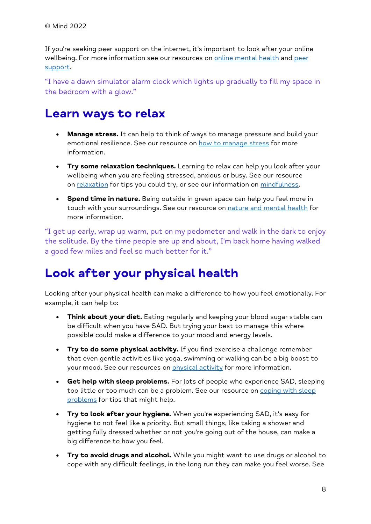If you're seeking peer support on the internet, it's important to look after your online wellbeing. For more information see our resources on [online mental health](https://www.mind.org.uk/information-support/tips-for-everyday-living/online-mental-health/) and peer [support.](https://www.mind.org.uk/information-support/drugs-and-treatments/peer-support/)

"I have a dawn simulator alarm clock which lights up gradually to fill my space in the bedroom with a glow."

## **Learn ways to relax**

- **Manage stress.** It can help to think of ways to manage pressure and build your emotional resilience. See our resource on [how to manage stress](https://www.mind.org.uk/information-support/types-of-mental-health-problems/stress/) for more information.
- **Try some relaxation techniques.** Learning to relax can help you look after your wellbeing when you are feeling stressed, anxious or busy. See our resource on [relaxation](https://www.mind.org.uk/information-support/tips-for-everyday-living/relaxation/) for tips you could try, or see our information on [mindfulness.](https://www.mind.org.uk/information-support/drugs-and-treatments/mindfulness/)
- **Spend time in nature.** Being outside in green space can help you feel more in touch with your surroundings. See our resource on [nature and mental health](https://www.mind.org.uk/information-support/tips-for-everyday-living/nature-and-mental-health/) for more information.

"I get up early, wrap up warm, put on my pedometer and walk in the dark to enjoy the solitude. By the time people are up and about, I'm back home having walked a good few miles and feel so much better for it."

# **Look after your physical health**

Looking after your physical health can make a difference to how you feel emotionally. For example, it can help to:

- **Think about your diet.** Eating regularly and keeping your blood sugar stable can be difficult when you have SAD. But trying your best to manage this where possible could make a difference to your mood and energy levels.
- **Try to do some physical activity.** If you find exercise a challenge remember that even gentle activities like yoga, swimming or walking can be a big boost to your mood. See our resources on [physical activity](https://www.mind.org.uk/information-support/tips-for-everyday-living/physical-activity-and-your-mental-health/) for more information.
- **Get help with sleep problems.** For lots of people who experience SAD, sleeping too little or too much can be a problem. See our resource on coping with sleep [problems](https://www.mind.org.uk/information-support/types-of-mental-health-problems/sleep-problems/) for tips that might help.
- **Try to look after your hygiene.** When you're experiencing SAD, it's easy for hygiene to not feel like a priority. But small things, like taking a shower and getting fully dressed whether or not you're going out of the house, can make a big difference to how you feel.
- **Try to avoid drugs and alcohol.** While you might want to use drugs or alcohol to cope with any difficult feelings, in the long run they can make you feel worse. See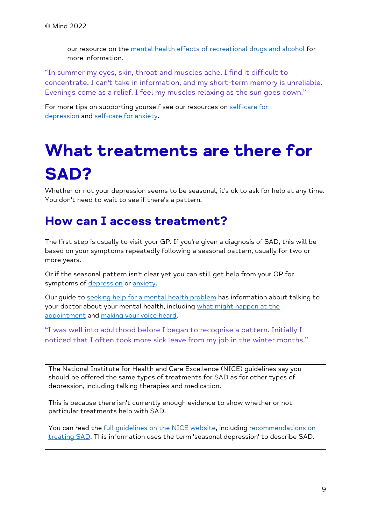our resource on the [mental health effects of recreational drugs and alcohol](https://www.mind.org.uk/information-support/types-of-mental-health-problems/drugs-recreational-drugs-alcohol/) for more information.

"In summer my eyes, skin, throat and muscles ache. I find it difficult to concentrate. I can't take in information, and my short-term memory is unreliable. Evenings come as a relief. I feel my muscles relaxing as the sun goes down."

For more tips on supporting yourself see our resources on [self-care for](https://www.mind.org.uk/information-support/types-of-mental-health-problems/depression/self-care/)  [depression](https://www.mind.org.uk/information-support/types-of-mental-health-problems/depression/self-care/) and [self-care for anxiety.](https://www.mind.org.uk/information-support/types-of-mental-health-problems/anxiety-and-panic-attacks/self-care/)

# <span id="page-8-0"></span>**What treatments are there for SAD?**

Whether or not your depression seems to be seasonal, it's ok to ask for help at any time. You don't need to wait to see if there's a pattern.

### **How can I access treatment?**

The first step is usually to visit your GP. If you're given a diagnosis of SAD, this will be based on your symptoms repeatedly following a seasonal pattern, usually for two or more years.

Or if the seasonal pattern isn't clear yet you can still get help from your GP for symptoms of [depression](https://www.mind.org.uk/information-support/types-of-mental-health-problems/depression/) or [anxiety.](https://www.mind.org.uk/information-support/types-of-mental-health-problems/anxiety-and-panic-attacks/)

Our guide to [seeking help for a mental health problem](https://www.mind.org.uk/information-support/guides-to-support-and-services/seeking-help-for-a-mental-health-problem/) has information about talking to your doctor about your mental health, including [what might happen at the](https://www.mind.org.uk/information-support/guides-to-support-and-services/seeking-help-for-a-mental-health-problem/what-might-happen-at-a-gp-appointment/)  [appointment](https://www.mind.org.uk/information-support/guides-to-support-and-services/seeking-help-for-a-mental-health-problem/what-might-happen-at-a-gp-appointment/) and [making your voice heard.](https://www.mind.org.uk/information-support/guides-to-support-and-services/seeking-help-for-a-mental-health-problem/making-yourself-heard/)

"I was well into adulthood before I began to recognise a pattern. Initially I noticed that I often took more sick leave from my job in the winter months."

The National Institute for Health and Care Excellence (NICE) guidelines say you should be offered the same types of treatments for SAD as for other types of depression, including talking therapies and medication.

This is because there isn't currently enough evidence to show whether or not particular treatments help with SAD.

You can read the [full guidelines on the NICE website,](https://www.nice.org.uk/guidance/cg90/ifp/chapter/About-this-information) including [recommendations on](https://www.nice.org.uk/guidance/cg90/ifp/chapter/Treatments-for-moderate-or-severe-depression#treatment-for-people-with-seasonal-depression)  [treating SAD.](https://www.nice.org.uk/guidance/cg90/ifp/chapter/Treatments-for-moderate-or-severe-depression#treatment-for-people-with-seasonal-depression) This information uses the term 'seasonal depression' to describe SAD.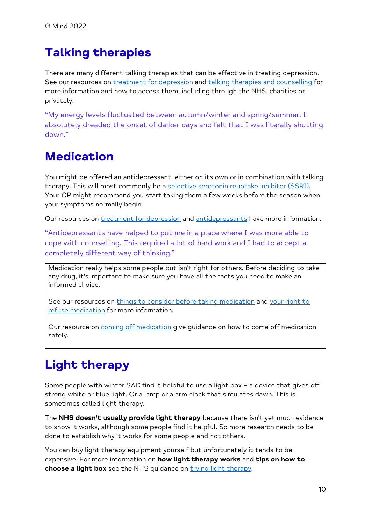# **Talking therapies**

There are many different talking therapies that can be effective in treating depression. See our resources on [treatment for depression](https://www.mind.org.uk/information-support/types-of-mental-health-problems/depression/treatments/) and [talking therapies and counselling](https://www.mind.org.uk/information-support/drugs-and-treatments/talking-therapy-and-counselling/) for more information and how to access them, including through the NHS, charities or privately.

"My energy levels fluctuated between autumn/winter and spring/summer. I absolutely dreaded the onset of darker days and felt that I was literally shutting down."

# **Medication**

You might be offered an antidepressant, either on its own or in combination with talking therapy. This will most commonly be a [selective serotonin reuptake inhibitor \(SSRI\).](https://www.mind.org.uk/information-support/drugs-and-treatments/antidepressants/about-antidepressants/#SelectiveSerotoninReuptakeInhibitorsSSRIs) Your GP might recommend you start taking them a few weeks before the season when your symptoms normally begin.

Our resources on [treatment for depression](https://www.mind.org.uk/information-support/types-of-mental-health-problems/depression/treatments/) and [antidepressants](https://www.mind.org.uk/information-support/drugs-and-treatments/antidepressants/) have more information.

"Antidepressants have helped to put me in a place where I was more able to cope with counselling. This required a lot of hard work and I had to accept a completely different way of thinking."

Medication really helps some people but isn't right for others. Before deciding to take any drug, it's important to make sure you have all the facts you need to make an informed choice.

See our resources on [things to consider before taking medication](https://www.mind.org.uk/information-support/drugs-and-treatments/medication/before-taking-medication/) and your right to [refuse medication](https://www.mind.org.uk/information-support/drugs-and-treatments/medication/your-right-to-refuse-medication/) for more information.

Our resource on [coming off medication](https://www.mind.org.uk/information-support/drugs-and-treatments/medication-coming-off/) give guidance on how to come off medication safely.

# **Light therapy**

Some people with winter SAD find it helpful to use a light box – a device that gives off strong white or blue light. Or a lamp or alarm clock that simulates dawn. This is sometimes called light therapy.

The **NHS doesn't usually provide light therapy** because there isn't yet much evidence to show it works, although some people find it helpful. So more research needs to be done to establish why it works for some people and not others.

You can buy light therapy equipment yourself but unfortunately it tends to be expensive. For more information on **how light therapy works** and **tips on how to choose a light box** see the NHS quidance on [trying light therapy.](https://www.nhs.uk/mental-health/conditions/seasonal-affective-disorder-sad/treatment/)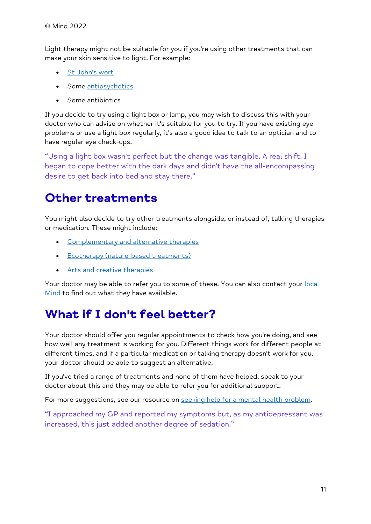Light therapy might not be suitable for you if you're using other treatments that can make your skin sensitive to light. For example:

- [St John's wort](https://www.mind.org.uk/information-support/drugs-and-treatments/complementary-and-alternative-therapies/st-johns-wort/)
- Some [antipsychotics](https://www.mind.org.uk/information-support/drugs-and-treatments/antipsychotics/)
- Some antibiotics

If you decide to try using a light box or lamp, you may wish to discuss this with your doctor who can advise on whether it's suitable for you to try. If you have existing eye problems or use a light box regularly, it's also a good idea to talk to an optician and to have regular eye check-ups.

"Using a light box wasn't perfect but the change was tangible. A real shift. I began to cope better with the dark days and didn't have the all-encompassing desire to get back into bed and stay there."

### **Other treatments**

You might also decide to try other treatments alongside, or instead of, talking therapies or medication. These might include:

- [Complementary and alternative therapies](https://www.mind.org.uk/information-support/drugs-and-treatments/complementary-and-alternative-therapies/)
- [Ecotherapy \(nature-based treatments\)](https://www.mind.org.uk/information-support/drugs-and-treatments/talking-therapy-and-counselling/ecotherapy/)
- [Arts and creative therapies](https://www.mind.org.uk/information-support/drugs-and-treatments/talking-therapy-and-counselling/arts-and-creative-therapies/)

Your doctor may be able to refer you to some of these. You can also contact your [local](https://www.mind.org.uk/information-support/local-minds/) [Mind](https://www.mind.org.uk/information-support/local-minds/) to find out what they have available.

# **What if I don't feel better?**

Your doctor should offer you regular appointments to check how you're doing, and see how well any treatment is working for you. Different things work for different people at different times, and if a particular medication or talking therapy doesn't work for you, your doctor should be able to suggest an alternative.

If you've tried a range of treatments and none of them have helped, speak to your doctor about this and they may be able to refer you for additional support.

For more suggestions, see our resource on [seeking help for a mental health problem.](https://www.mind.org.uk/information-support/guides-to-support-and-services/seeking-help-for-a-mental-health-problem/)

"I approached my GP and reported my symptoms but, as my antidepressant was increased, this just added another degree of sedation."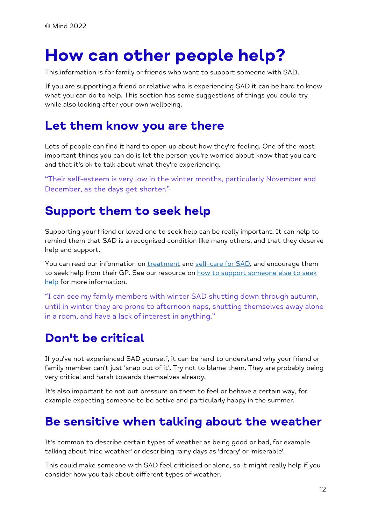# <span id="page-11-0"></span>**How can other people help?**

This information is for family or friends who want to support someone with SAD.

If you are supporting a friend or relative who is experiencing SAD it can be hard to know what you can do to help. This section has some suggestions of things you could try while also looking after your own wellbeing.

#### **Let them know you are there**

Lots of people can find it hard to open up about how they're feeling. One of the most important things you can do is let the person you're worried about know that you care and that it's ok to talk about what they're experiencing.

"Their self-esteem is very low in the winter months, particularly November and December, as the days get shorter."

### **Support them to seek help**

Supporting your friend or loved one to seek help can be really important. It can help to remind them that SAD is a recognised condition like many others, and that they deserve help and support.

You can read our information on [treatment](https://www.mind.org.uk/information-support/types-of-mental-health-problems/seasonal-affective-disorder-sad/treatment/) and [self-care for SAD,](https://www.mind.org.uk/information-support/types-of-mental-health-problems/seasonal-affective-disorder-sad/self-care/) and encourage them to seek help from their GP. See our resource on how to support someone else to seek [help](https://www.mind.org.uk/information-support/helping-someone-else/carers-friends-family-coping-support/) for more information.

"I can see my family members with winter SAD shutting down through autumn, until in winter they are prone to afternoon naps, shutting themselves away alone in a room, and have a lack of interest in anything."

# **Don't be critical**

If you've not experienced SAD yourself, it can be hard to understand why your friend or family member can't just 'snap out of it'. Try not to blame them. They are probably being very critical and harsh towards themselves already.

It's also important to not put pressure on them to feel or behave a certain way, for example expecting someone to be active and particularly happy in the summer.

#### **Be sensitive when talking about the weather**

It's common to describe certain types of weather as being good or bad, for example talking about 'nice weather' or describing rainy days as 'dreary' or 'miserable'.

This could make someone with SAD feel criticised or alone, so it might really help if you consider how you talk about different types of weather.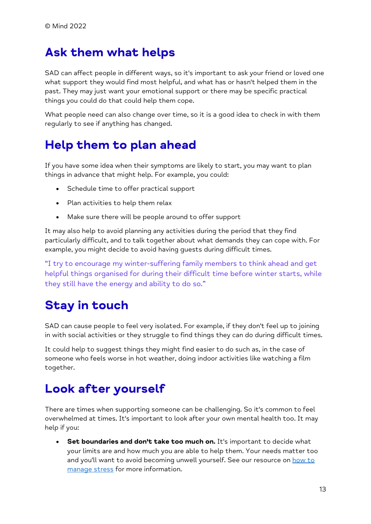### **Ask them what helps**

SAD can affect people in different ways, so it's important to ask your friend or loved one what support they would find most helpful, and what has or hasn't helped them in the past. They may just want your emotional support or there may be specific practical things you could do that could help them cope.

What people need can also change over time, so it is a good idea to check in with them regularly to see if anything has changed.

### **Help them to plan ahead**

If you have some idea when their symptoms are likely to start, you may want to plan things in advance that might help. For example, you could:

- Schedule time to offer practical support
- Plan activities to help them relax
- Make sure there will be people around to offer support

It may also help to avoid planning any activities during the period that they find particularly difficult, and to talk together about what demands they can cope with. For example, you might decide to avoid having guests during difficult times.

"I try to encourage my winter-suffering family members to think ahead and get helpful things organised for during their difficult time before winter starts, while they still have the energy and ability to do so."

# **Stay in touch**

SAD can cause people to feel very isolated. For example, if they don't feel up to joining in with social activities or they struggle to find things they can do during difficult times.

It could help to suggest things they might find easier to do such as, in the case of someone who feels worse in hot weather, doing indoor activities like watching a film together.

### **Look after yourself**

There are times when supporting someone can be challenging. So it's common to feel overwhelmed at times. It's important to look after your own mental health too. It may help if you:

• **Set boundaries and don't take too much on.** It's important to decide what your limits are and how much you are able to help them. Your needs matter too and you'll want to avoid becoming unwell yourself. See our resource on how to [manage stress](https://www.mind.org.uk/information-support/types-of-mental-health-problems/stress/) for more information.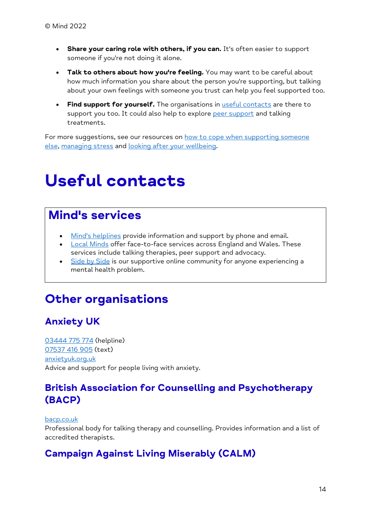- **Share your caring role with others, if you can.** It's often easier to support someone if you're not doing it alone.
- **Talk to others about how you're feeling.** You may want to be careful about how much information you share about the person you're supporting, but talking about your own feelings with someone you trust can help you feel supported too.
- **Find support for yourself.** The organisations in [useful contacts](https://www.mind.org.uk/information-support/types-of-mental-health-problems/seasonal-affective-disorder-sad/useful-contacts/) are there to support you too. It could also help to explore [peer support](https://www.mind.org.uk/information-support/drugs-and-treatments/peer-support/) and talking treatments.

For more suggestions, see our resources on how to cope when supporting someone [else,](https://www.mind.org.uk/information-support/helping-someone-else/carers-friends-family-coping-support/) [managing stress](https://www.mind.org.uk/information-support/types-of-mental-health-problems/stress/) and [looking after your wellbeing.](https://www.mind.org.uk/information-support/tips-for-everyday-living/wellbeing/)

# <span id="page-13-0"></span>**Useful contacts**

#### **Mind's services**

- [Mind's helplines](https://www.mind.org.uk/information-support/helplines/) provide information and support by phone and email.
- **[Local Minds](https://www.mind.org.uk/about-us/local-minds/) offer face-to-face services across England and Wales. These** services include talking therapies, peer support and advocacy.
- <u>[Side by Side](https://www.mind.org.uk/information-support/side-by-side-our-online-community/)</u> is our supportive online community for anyone experiencing a mental health problem.

### **Other organisations**

#### **Anxiety UK**

[03444 775 774](tel:+44-3444-775-774) (helpline) [07537 416 905](sms:+44-7537-416-905) (text) [anxietyuk.org.uk](https://www.anxietyuk.org.uk/) Advice and support for people living with anxiety.

#### **British Association for Counselling and Psychotherapy (BACP)**

#### [bacp.co.uk](https://www.bacp.co.uk/)

Professional body for talking therapy and counselling. Provides information and a list of accredited therapists.

#### **Campaign Against Living Miserably (CALM)**